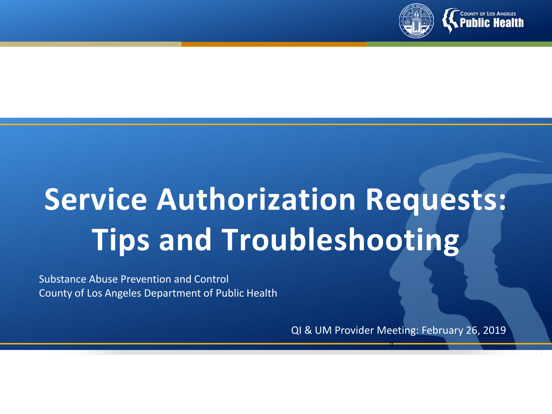

# **Service Authorization Requests: Tips and Troubleshooting**

Substance Abuse Prevention and Control County of Los Angeles Department of Public Health

QI & UM Provider Meeting: February 26, 2019

0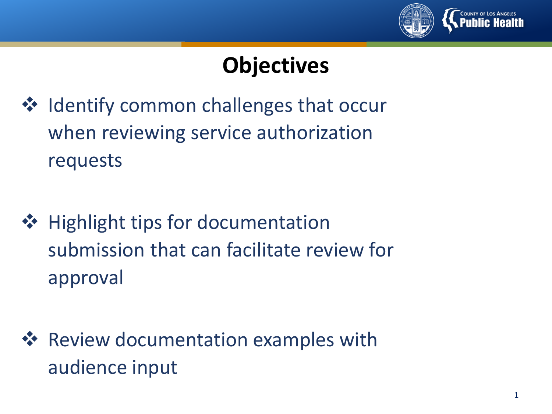

# **Objectives**

- ❖ Identify common challenges that occur when reviewing service authorization requests
- ❖ Highlight tips for documentation submission that can facilitate review for approval
- **☆** Review documentation examples with audience input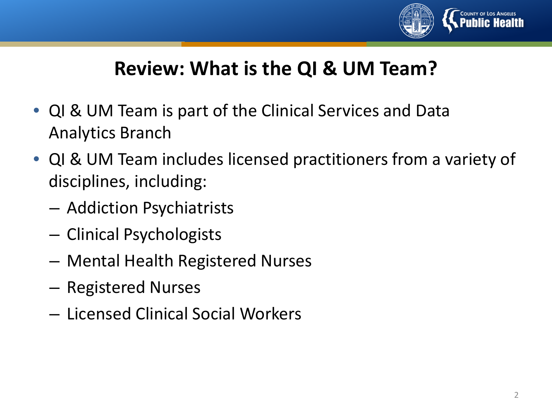

## **Review: What is the QI & UM Team?**

- QI & UM Team is part of the Clinical Services and Data Analytics Branch
- QI & UM Team includes licensed practitioners from a variety of disciplines, including:
	- Addiction Psychiatrists
	- Clinical Psychologists
	- Mental Health Registered Nurses
	- Registered Nurses
	- Licensed Clinical Social Workers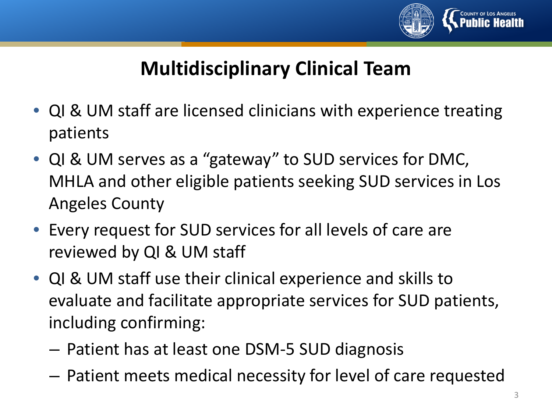

## **Multidisciplinary Clinical Team**

- QI & UM staff are licensed clinicians with experience treating patients
- QI & UM serves as a "gateway" to SUD services for DMC, MHLA and other eligible patients seeking SUD services in Los Angeles County
- Every request for SUD services for all levels of care are reviewed by QI & UM staff
- QI & UM staff use their clinical experience and skills to evaluate and facilitate appropriate services for SUD patients, including confirming:
	- Patient has at least one DSM-5 SUD diagnosis
	- Patient meets medical necessity for level of care requested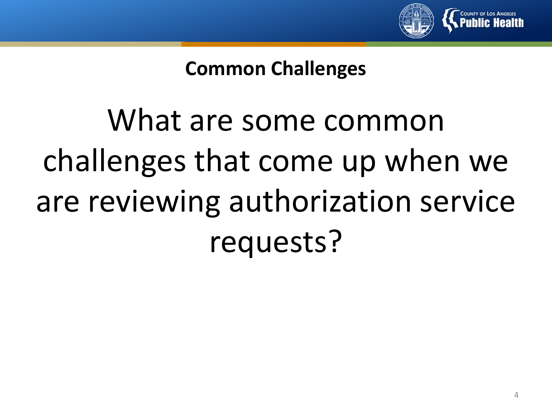

## **Common Challenges**

# What are some common challenges that come up when we are reviewing authorization service requests?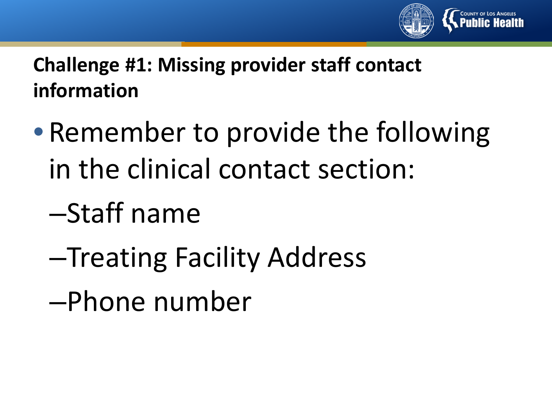

**Challenge #1: Missing provider staff contact information**

- Remember to provide the following in the clinical contact section:
	- –Staff name
	- –Treating Facility Address
	- –Phone number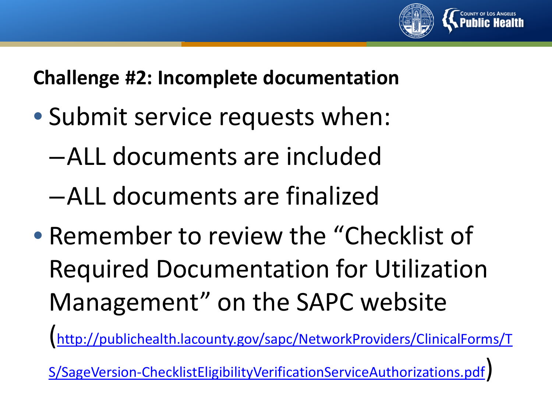

**Challenge #2: Incomplete documentation**

- Submit service requests when:
	- –ALL documents are included
	- –ALL documents are finalized
- Remember to review the "Checklist of Required Documentation for Utilization Management" on the SAPC website

(http://publichealth.lacounty.gov/sapc/NetworkProviders/ClinicalForms/T

[S/SageVersion-ChecklistEligibilityVerificationServiceAuthorizations.pdf\)](http://publichealth.lacounty.gov/sapc/NetworkProviders/ClinicalForms/TS/SageVersion-ChecklistEligibilityVerificationServiceAuthorizations.pdf)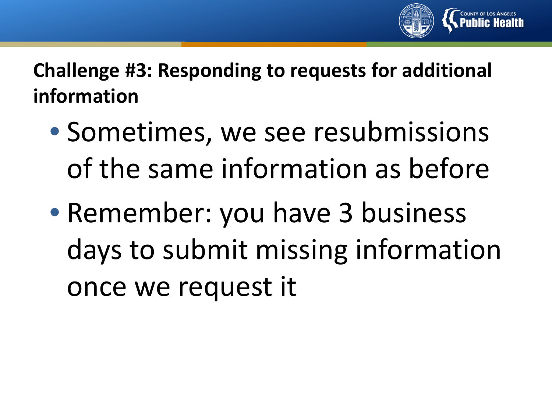

**Challenge #3: Responding to requests for additional information**

- Sometimes, we see resubmissions of the same information as before
- Remember: you have 3 business days to submit missing information once we request it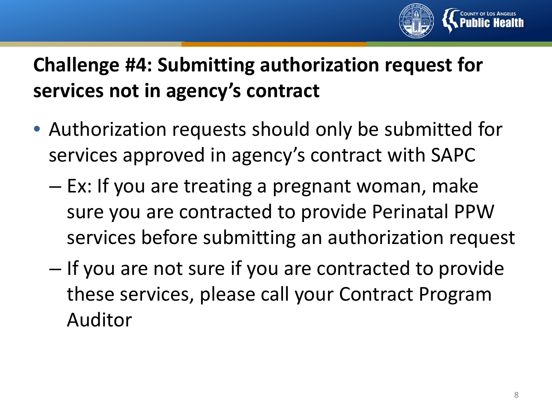

## **Challenge #4: Submitting authorization request for services not in agency's contract**

- Authorization requests should only be submitted for services approved in agency's contract with SAPC
	- Ex: If you are treating a pregnant woman, make sure you are contracted to provide Perinatal PPW services before submitting an authorization request
	- If you are not sure if you are contracted to provide these services, please call your Contract Program Auditor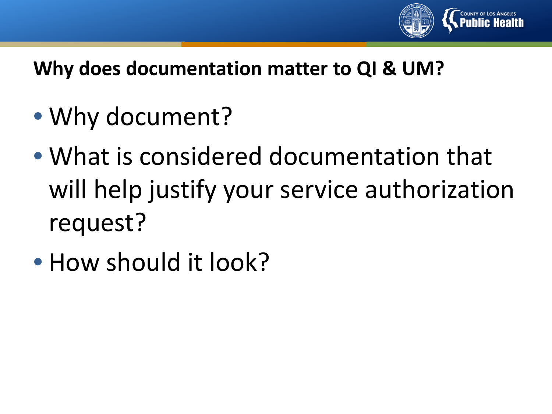

## **Why does documentation matter to QI & UM?**

- Why document?
- What is considered documentation that will help justify your service authorization request?
- How should it look?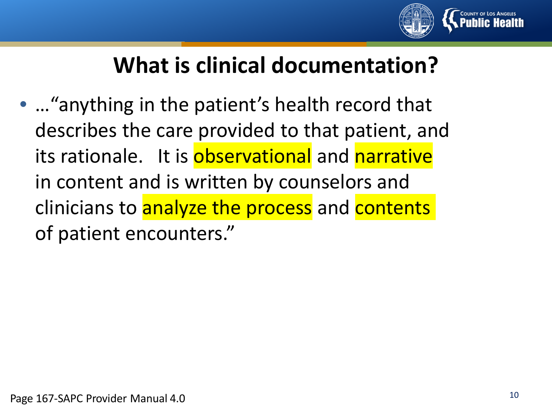

# **What is clinical documentation?**

• …"anything in the patient's health record that describes the care provided to that patient, and its rationale. It is observational and narrative in content and is written by counselors and clinicians to analyze the process and contents of patient encounters."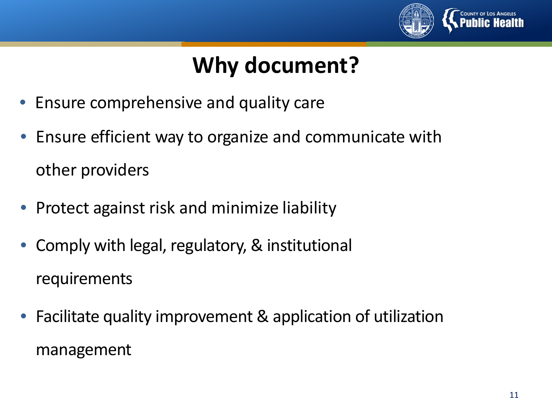

# **Why document?**

- Ensure comprehensive and quality care
- Ensure efficient way to organize and communicate with other providers
- Protect against risk and minimize liability
- Comply with legal, regulatory, & institutional requirements
- Facilitate quality improvement & application of utilization management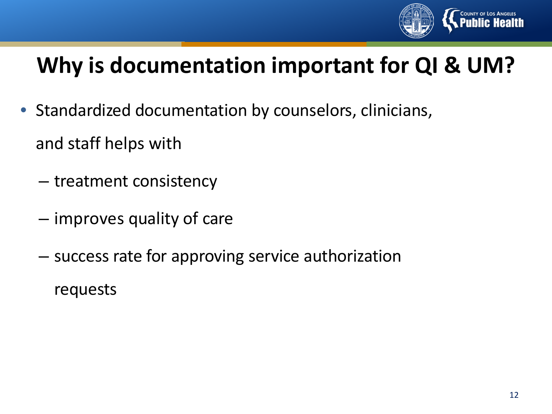

# **Why is documentation important for QI & UM?**

- Standardized documentation by counselors, clinicians, and staff helps with
	- treatment consistency
	- improves quality of care
	- success rate for approving service authorization
		- requests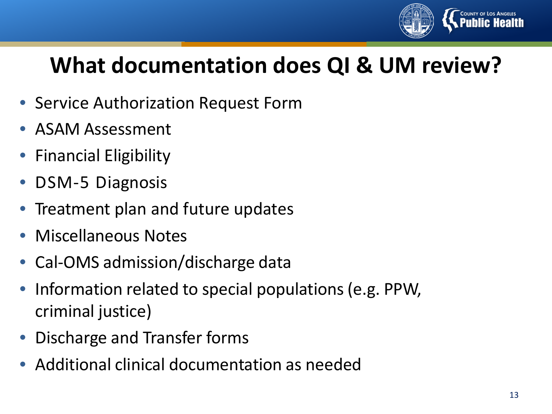

# **What documentation does QI & UM review?**

- Service Authorization Request Form
- ASAM Assessment
- Financial Eligibility
- DSM-5 Diagnosis
- Treatment plan and future updates
- Miscellaneous Notes
- Cal-OMS admission/discharge data
- Information related to special populations (e.g. PPW, criminal justice)
- Discharge and Transfer forms
- Additional clinical documentation as needed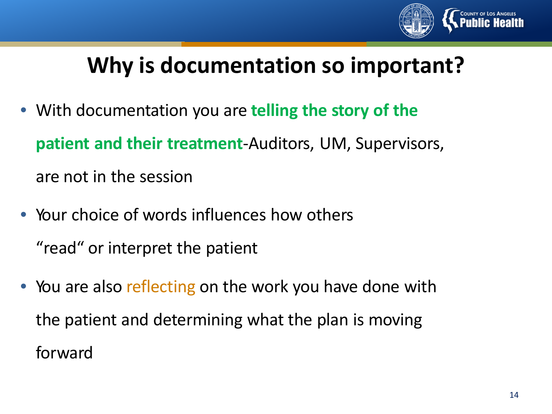

# **Why is documentation so important?**

- With documentation you are **telling the story of the patient and their treatment**-Auditors, UM, Supervisors, are not in the session
- Your choice of words influences how others "read" or interpret the patient
- You are also reflecting on the work you have done with the patient and determining what the plan is moving forward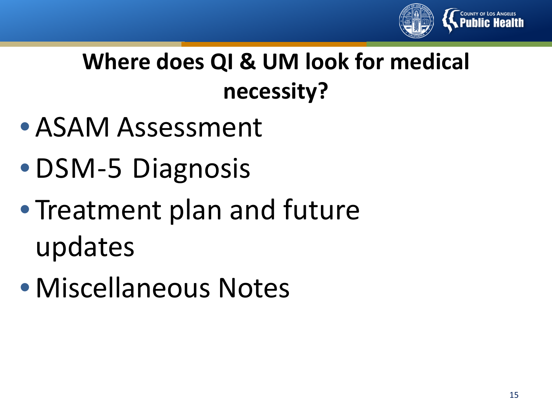

# **Where does QI & UM look for medical necessity?**

- ASAM Assessment
- DSM-5 Diagnosis
- Treatment plan and future updates
- Miscellaneous Notes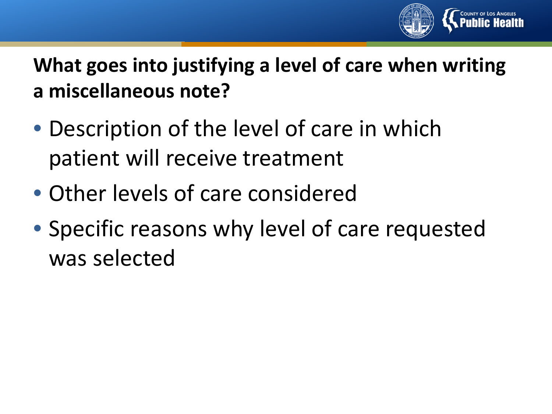

## **What goes into justifying a level of care when writing a miscellaneous note?**

- Description of the level of care in which patient will receive treatment
- Other levels of care considered
- Specific reasons why level of care requested was selected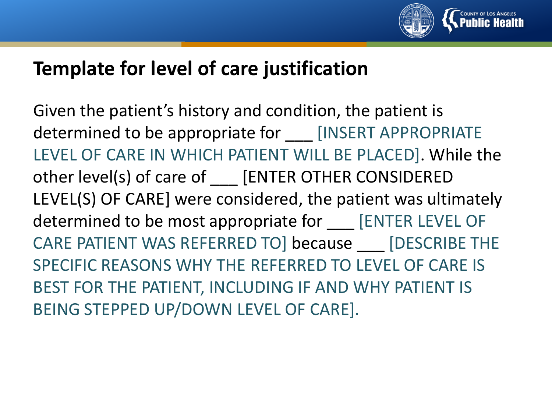

## **Template for level of care justification**

Given the patient's history and condition, the patient is determined to be appropriate for [INSERT APPROPRIATE LEVEL OF CARE IN WHICH PATIENT WILL BE PLACED]. While the other level(s) of care of \_\_\_ [ENTER OTHER CONSIDERED LEVEL(S) OF CARE] were considered, the patient was ultimately determined to be most appropriate for [ENTER LEVEL OF CARE PATIENT WAS REFERRED TO] because [DESCRIBE THE SPECIFIC REASONS WHY THE REFERRED TO LEVEL OF CARE IS BEST FOR THE PATIENT, INCLUDING IF AND WHY PATIENT IS BEING STEPPED UP/DOWN LEVEL OF CARE].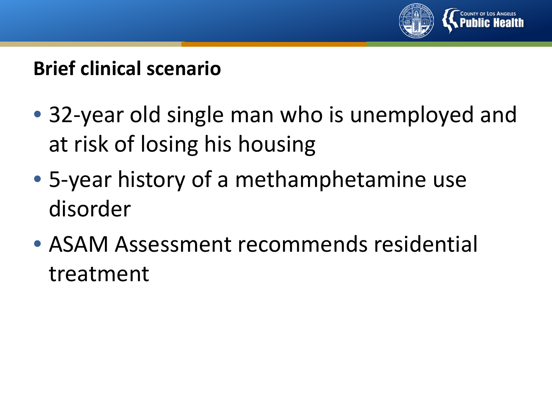

## **Brief clinical scenario**

- 32-year old single man who is unemployed and at risk of losing his housing
- 5-year history of a methamphetamine use disorder
- ASAM Assessment recommends residential treatment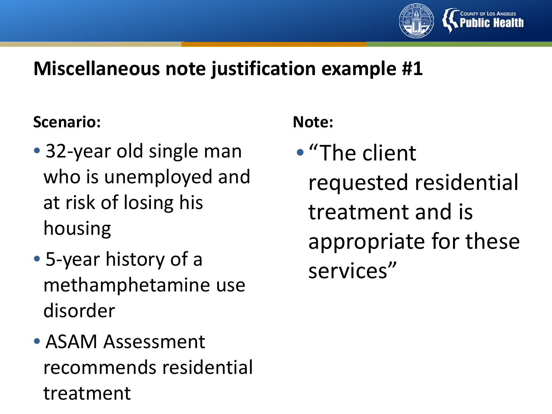

#### **Scenario:**

- 32-year old single man who is unemployed and at risk of losing his housing
- 5-year history of a methamphetamine use disorder
- ASAM Assessment recommends residential treatment

#### **Note:**

• "The client requested residential treatment and is appropriate for these services"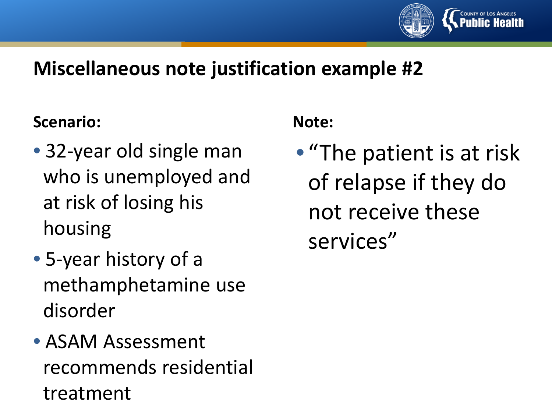

#### **Scenario:**

- 32-year old single man who is unemployed and at risk of losing his housing
- 5-year history of a methamphetamine use disorder
- ASAM Assessment recommends residential treatment

#### **Note:**

• "The patient is at risk of relapse if they do not receive these services"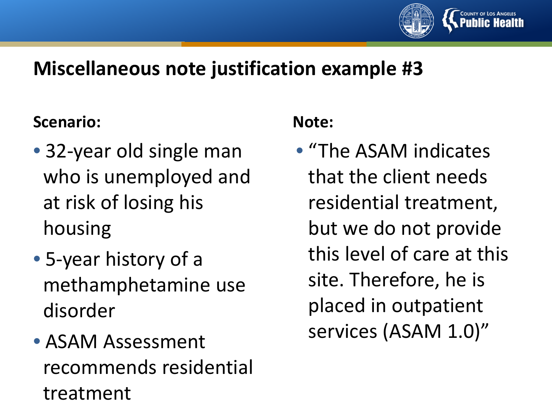

#### **Scenario:**

- 32-year old single man who is unemployed and at risk of losing his housing
- 5-year history of a methamphetamine use disorder
- ASAM Assessment recommends residential treatment

#### **Note:**

• "The ASAM indicates that the client needs residential treatment, but we do not provide this level of care at this site. Therefore, he is placed in outpatient services (ASAM 1.0)"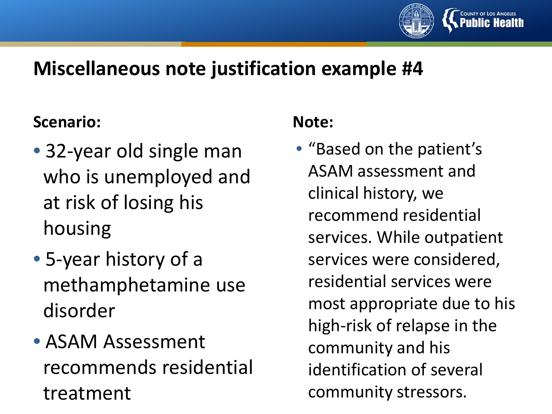

#### **Scenario:**

- 32-year old single man who is unemployed and at risk of losing his housing
- 5-year history of a methamphetamine use disorder
- ASAM Assessment recommends residential treatment

#### **Note:**

• "Based on the patient's ASAM assessment and clinical history, we recommend residential services. While outpatient services were considered, residential services were most appropriate due to his high-risk of relapse in the community and his identification of several community stressors.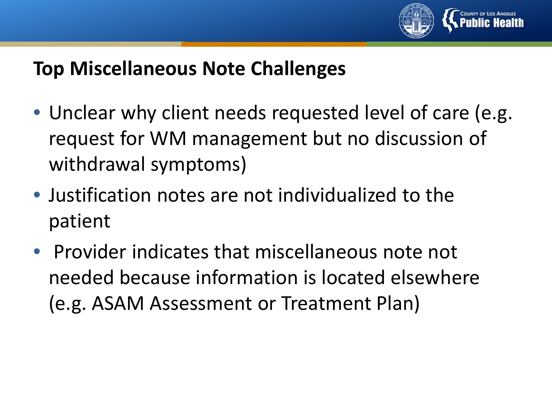

## **Top Miscellaneous Note Challenges**

- Unclear why client needs requested level of care (e.g. request for WM management but no discussion of withdrawal symptoms)
- Justification notes are not individualized to the patient
- Provider indicates that miscellaneous note not needed because information is located elsewhere (e.g. ASAM Assessment or Treatment Plan)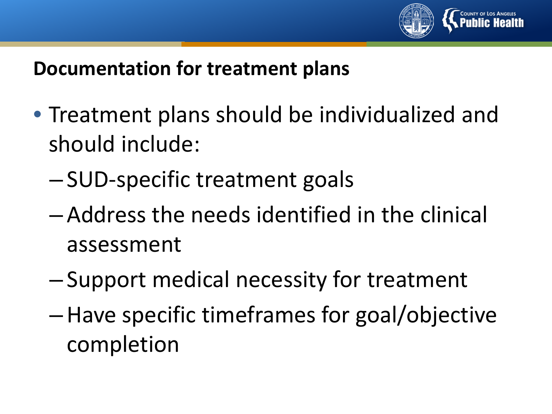

## **Documentation for treatment plans**

- Treatment plans should be individualized and should include:
	- SUD-specific treatment goals
	- Address the needs identified in the clinical assessment
	- Support medical necessity for treatment
	- –Have specific timeframes for goal/objective completion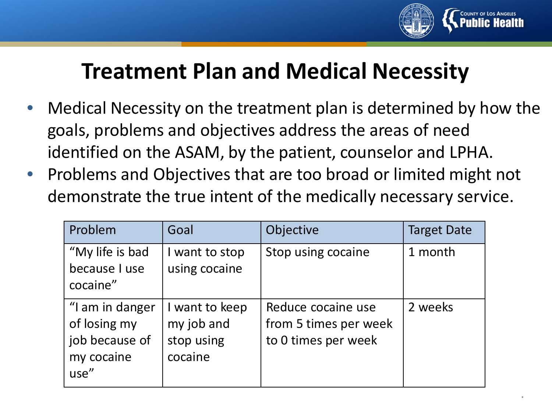

.

## **Treatment Plan and Medical Necessity**

- Medical Necessity on the treatment plan is determined by how the goals, problems and objectives address the areas of need identified on the ASAM, by the patient, counselor and LPHA.
- Problems and Objectives that are too broad or limited might not demonstrate the true intent of the medically necessary service.

| Problem                                                                 | Goal                                                  | Objective                                                          | <b>Target Date</b> |
|-------------------------------------------------------------------------|-------------------------------------------------------|--------------------------------------------------------------------|--------------------|
| "My life is bad<br>because I use<br>cocaine"                            | I want to stop<br>using cocaine                       | Stop using cocaine                                                 | 1 month            |
| "I am in danger<br>of losing my<br>job because of<br>my cocaine<br>use" | I want to keep<br>my job and<br>stop using<br>cocaine | Reduce cocaine use<br>from 5 times per week<br>to 0 times per week | 2 weeks            |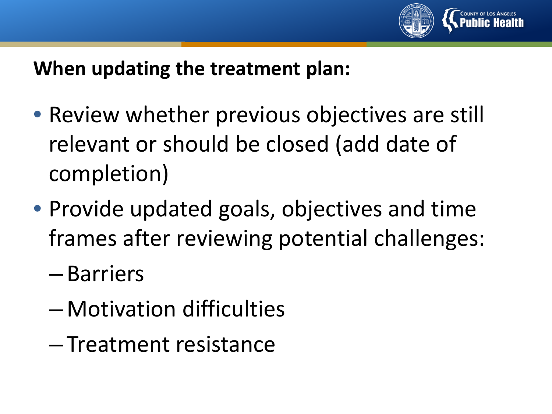

## **When updating the treatment plan:**

- Review whether previous objectives are still relevant or should be closed (add date of completion)
- Provide updated goals, objectives and time frames after reviewing potential challenges:
	- Barriers
	- Motivation difficulties
	- Treatment resistance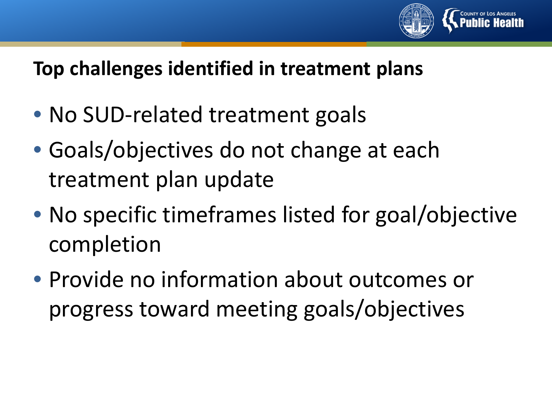

## **Top challenges identified in treatment plans**

- No SUD-related treatment goals
- Goals/objectives do not change at each treatment plan update
- No specific timeframes listed for goal/objective completion
- Provide no information about outcomes or progress toward meeting goals/objectives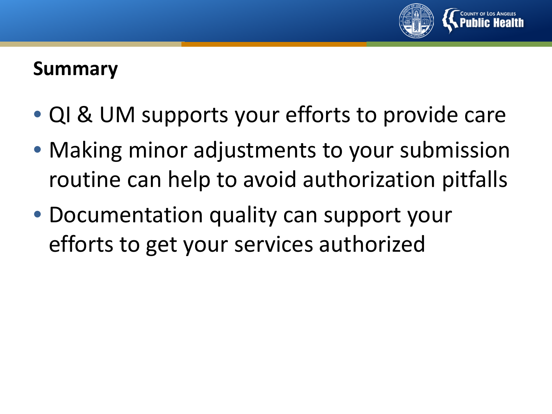

#### **Summary**

- QI & UM supports your efforts to provide care
- Making minor adjustments to your submission routine can help to avoid authorization pitfalls
- Documentation quality can support your efforts to get your services authorized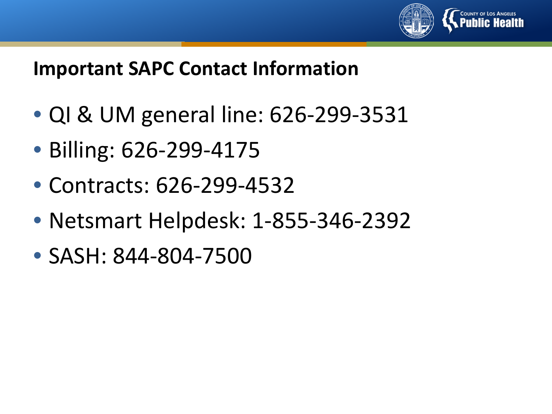

#### **Important SAPC Contact Information**

- QI & UM general line: 626-299-3531
- Billing: 626-299-4175
- Contracts: 626-299-4532
- Netsmart Helpdesk: 1-855-346-2392
- SASH: 844-804-7500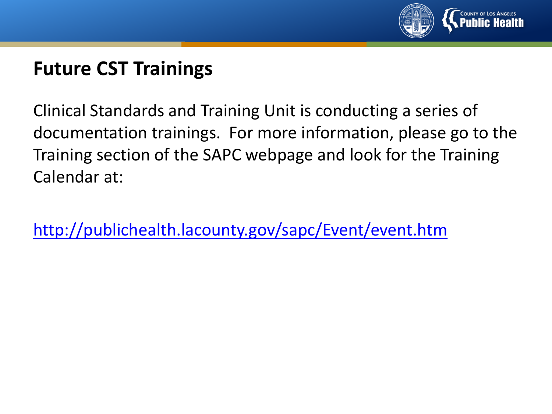

## **Future CST Trainings**

Clinical Standards and Training Unit is conducting a series of documentation trainings. For more information, please go to the Training section of the SAPC webpage and look for the Training Calendar at:

<http://publichealth.lacounty.gov/sapc/Event/event.htm>